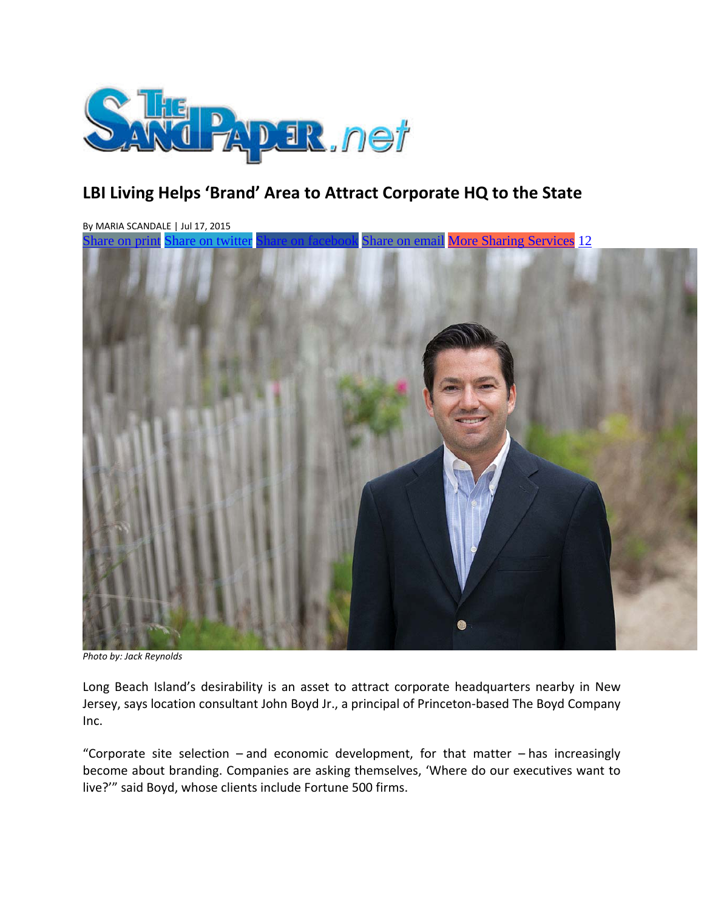

# **LBI Living Helps 'Brand' Area to Attract Corporate HQ to the State**

By MARIA SCANDALE | Jul 17, 2015 Share on print Share on twitter Share on facebook Share on email More Sharing Services 12



*Photo by: Jack Reynolds*

Long Beach Island's desirability is an asset to attract corporate headquarters nearby in New Jersey, says location consultant John Boyd Jr., a principal of Princeton‐based The Boyd Company Inc.

"Corporate site selection  $-\text{and}$  economic development, for that matter  $-\text{has}$  increasingly become about branding. Companies are asking themselves, 'Where do our executives want to live?'" said Boyd, whose clients include Fortune 500 firms.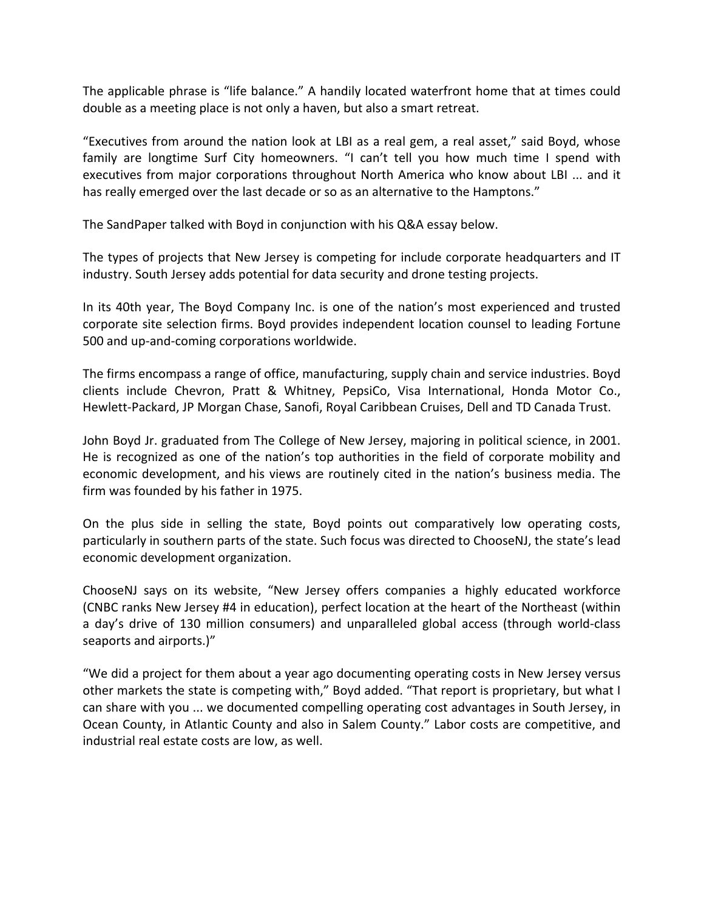The applicable phrase is "life balance." A handily located waterfront home that at times could double as a meeting place is not only a haven, but also a smart retreat.

"Executives from around the nation look at LBI as a real gem, a real asset," said Boyd, whose family are longtime Surf City homeowners. "I can't tell you how much time I spend with executives from major corporations throughout North America who know about LBI ... and it has really emerged over the last decade or so as an alternative to the Hamptons."

The SandPaper talked with Boyd in conjunction with his Q&A essay below.

The types of projects that New Jersey is competing for include corporate headquarters and IT industry. South Jersey adds potential for data security and drone testing projects.

In its 40th year, The Boyd Company Inc. is one of the nation's most experienced and trusted corporate site selection firms. Boyd provides independent location counsel to leading Fortune 500 and up-and-coming corporations worldwide.

The firms encompass a range of office, manufacturing, supply chain and service industries. Boyd clients include Chevron, Pratt & Whitney, PepsiCo, Visa International, Honda Motor Co., Hewlett-Packard, JP Morgan Chase, Sanofi, Royal Caribbean Cruises, Dell and TD Canada Trust.

John Boyd Jr. graduated from The College of New Jersey, majoring in political science, in 2001. He is recognized as one of the nation's top authorities in the field of corporate mobility and economic development, and his views are routinely cited in the nation's business media. The firm was founded by his father in 1975.

On the plus side in selling the state, Boyd points out comparatively low operating costs, particularly in southern parts of the state. Such focus was directed to ChooseNJ, the state's lead economic development organization.

ChooseNJ says on its website, "New Jersey offers companies a highly educated workforce (CNBC ranks New Jersey #4 in education), perfect location at the heart of the Northeast (within a day's drive of 130 million consumers) and unparalleled global access (through world‐class seaports and airports.)"

"We did a project for them about a year ago documenting operating costs in New Jersey versus other markets the state is competing with," Boyd added. "That report is proprietary, but what I can share with you ... we documented compelling operating cost advantages in South Jersey, in Ocean County, in Atlantic County and also in Salem County." Labor costs are competitive, and industrial real estate costs are low, as well.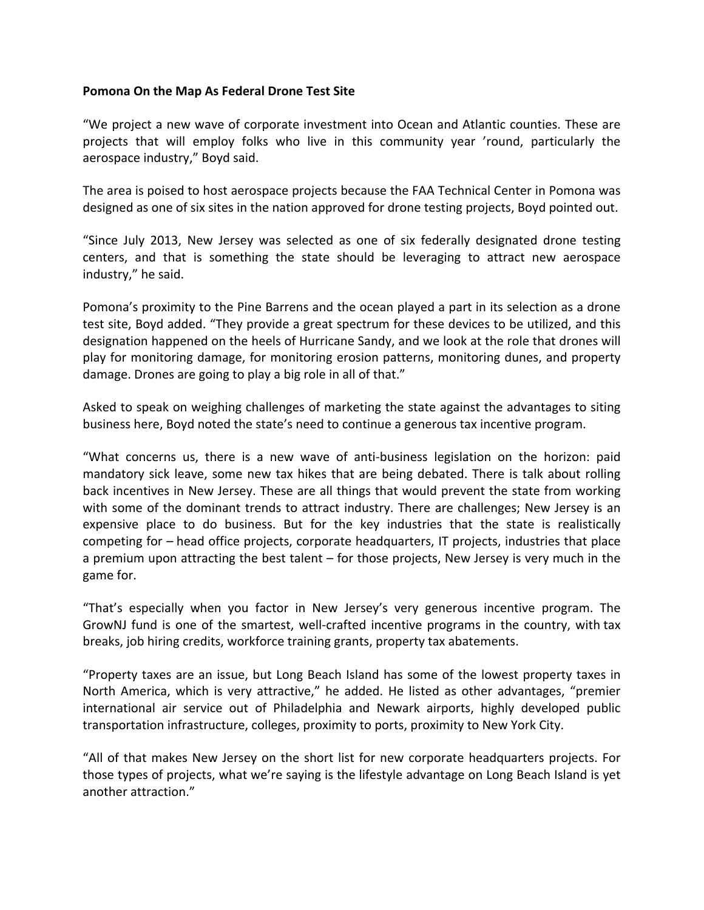#### **Pomona On the Map As Federal Drone Test Site**

"We project a new wave of corporate investment into Ocean and Atlantic counties. These are projects that will employ folks who live in this community year 'round, particularly the aerospace industry," Boyd said.

The area is poised to host aerospace projects because the FAA Technical Center in Pomona was designed as one of six sites in the nation approved for drone testing projects, Boyd pointed out.

"Since July 2013, New Jersey was selected as one of six federally designated drone testing centers, and that is something the state should be leveraging to attract new aerospace industry," he said.

Pomona's proximity to the Pine Barrens and the ocean played a part in its selection as a drone test site, Boyd added. "They provide a great spectrum for these devices to be utilized, and this designation happened on the heels of Hurricane Sandy, and we look at the role that drones will play for monitoring damage, for monitoring erosion patterns, monitoring dunes, and property damage. Drones are going to play a big role in all of that."

Asked to speak on weighing challenges of marketing the state against the advantages to siting business here, Boyd noted the state's need to continue a generous tax incentive program.

"What concerns us, there is a new wave of anti‐business legislation on the horizon: paid mandatory sick leave, some new tax hikes that are being debated. There is talk about rolling back incentives in New Jersey. These are all things that would prevent the state from working with some of the dominant trends to attract industry. There are challenges; New Jersey is an expensive place to do business. But for the key industries that the state is realistically competing for – head office projects, corporate headquarters, IT projects, industries that place a premium upon attracting the best talent – for those projects, New Jersey is very much in the game for.

"That's especially when you factor in New Jersey's very generous incentive program. The GrowNJ fund is one of the smartest, well-crafted incentive programs in the country, with tax breaks, job hiring credits, workforce training grants, property tax abatements.

"Property taxes are an issue, but Long Beach Island has some of the lowest property taxes in North America, which is very attractive," he added. He listed as other advantages, "premier international air service out of Philadelphia and Newark airports, highly developed public transportation infrastructure, colleges, proximity to ports, proximity to New York City.

"All of that makes New Jersey on the short list for new corporate headquarters projects. For those types of projects, what we're saying is the lifestyle advantage on Long Beach Island is yet another attraction."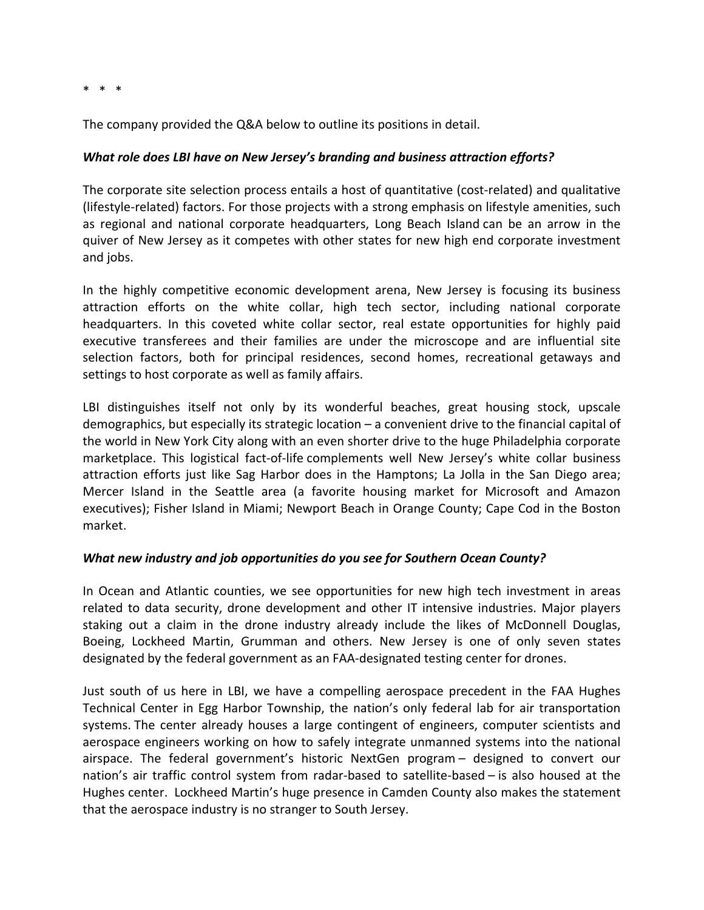$*$   $*$ 

The company provided the Q&A below to outline its positions in detail.

### *What role does LBI have on New Jersey's branding and business attraction efforts?*

The corporate site selection process entails a host of quantitative (cost-related) and qualitative (lifestyle‐related) factors. For those projects with a strong emphasis on lifestyle amenities, such as regional and national corporate headquarters, Long Beach Island can be an arrow in the quiver of New Jersey as it competes with other states for new high end corporate investment and jobs.

In the highly competitive economic development arena, New Jersey is focusing its business attraction efforts on the white collar, high tech sector, including national corporate headquarters. In this coveted white collar sector, real estate opportunities for highly paid executive transferees and their families are under the microscope and are influential site selection factors, both for principal residences, second homes, recreational getaways and settings to host corporate as well as family affairs.

LBI distinguishes itself not only by its wonderful beaches, great housing stock, upscale demographics, but especially its strategic location – a convenient drive to the financial capital of the world in New York City along with an even shorter drive to the huge Philadelphia corporate marketplace. This logistical fact-of-life complements well New Jersey's white collar business attraction efforts just like Sag Harbor does in the Hamptons; La Jolla in the San Diego area; Mercer Island in the Seattle area (a favorite housing market for Microsoft and Amazon executives); Fisher Island in Miami; Newport Beach in Orange County; Cape Cod in the Boston market.

#### *What new industry and job opportunities do you see for Southern Ocean County?*

In Ocean and Atlantic counties, we see opportunities for new high tech investment in areas related to data security, drone development and other IT intensive industries. Major players staking out a claim in the drone industry already include the likes of McDonnell Douglas, Boeing, Lockheed Martin, Grumman and others. New Jersey is one of only seven states designated by the federal government as an FAA‐designated testing center for drones.

Just south of us here in LBI, we have a compelling aerospace precedent in the FAA Hughes Technical Center in Egg Harbor Township, the nation's only federal lab for air transportation systems. The center already houses a large contingent of engineers, computer scientists and aerospace engineers working on how to safely integrate unmanned systems into the national airspace. The federal government's historic NextGen program – designed to convert our nation's air traffic control system from radar‐based to satellite‐based – is also housed at the Hughes center. Lockheed Martin's huge presence in Camden County also makes the statement that the aerospace industry is no stranger to South Jersey.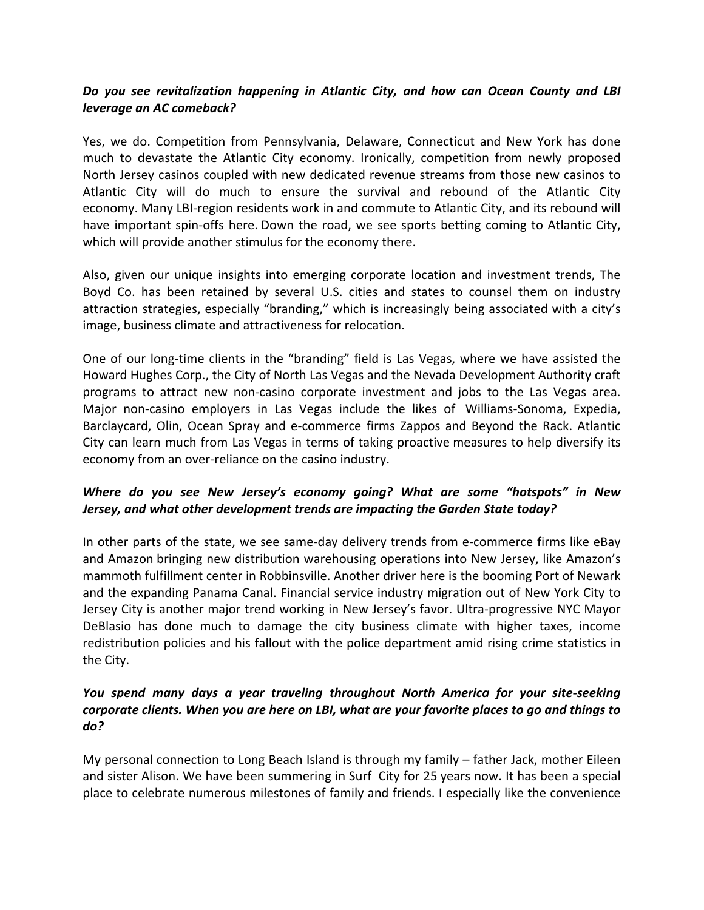## *Do you see revitalization happening in Atlantic City, and how can Ocean County and LBI leverage an AC comeback?*

Yes, we do. Competition from Pennsylvania, Delaware, Connecticut and New York has done much to devastate the Atlantic City economy. Ironically, competition from newly proposed North Jersey casinos coupled with new dedicated revenue streams from those new casinos to Atlantic City will do much to ensure the survival and rebound of the Atlantic City economy. Many LBI-region residents work in and commute to Atlantic City, and its rebound will have important spin‐offs here. Down the road, we see sports betting coming to Atlantic City, which will provide another stimulus for the economy there.

Also, given our unique insights into emerging corporate location and investment trends, The Boyd Co. has been retained by several U.S. cities and states to counsel them on industry attraction strategies, especially "branding," which is increasingly being associated with a city's image, business climate and attractiveness for relocation.

One of our long‐time clients in the "branding" field is Las Vegas, where we have assisted the Howard Hughes Corp., the City of North Las Vegas and the Nevada Development Authority craft programs to attract new non‐casino corporate investment and jobs to the Las Vegas area. Major non‐casino employers in Las Vegas include the likes of Williams‐Sonoma, Expedia, Barclaycard, Olin, Ocean Spray and e‐commerce firms Zappos and Beyond the Rack. Atlantic City can learn much from Las Vegas in terms of taking proactive measures to help diversify its economy from an over‐reliance on the casino industry.

# *Where do you see New Jersey's economy going? What are some "hotspots" in New Jersey, and what other development trends are impacting the Garden State today?*

In other parts of the state, we see same-day delivery trends from e-commerce firms like eBay and Amazon bringing new distribution warehousing operations into New Jersey, like Amazon's mammoth fulfillment center in Robbinsville. Another driver here is the booming Port of Newark and the expanding Panama Canal. Financial service industry migration out of New York City to Jersey City is another major trend working in New Jersey's favor. Ultra‐progressive NYC Mayor DeBlasio has done much to damage the city business climate with higher taxes, income redistribution policies and his fallout with the police department amid rising crime statistics in the City.

# *You spend many days a year traveling throughout North America for your site‐seeking corporate clients. When you are here on LBI, what are your favorite places to go and things to do?*

My personal connection to Long Beach Island is through my family – father Jack, mother Eileen and sister Alison. We have been summering in Surf City for 25 years now. It has been a special place to celebrate numerous milestones of family and friends. I especially like the convenience